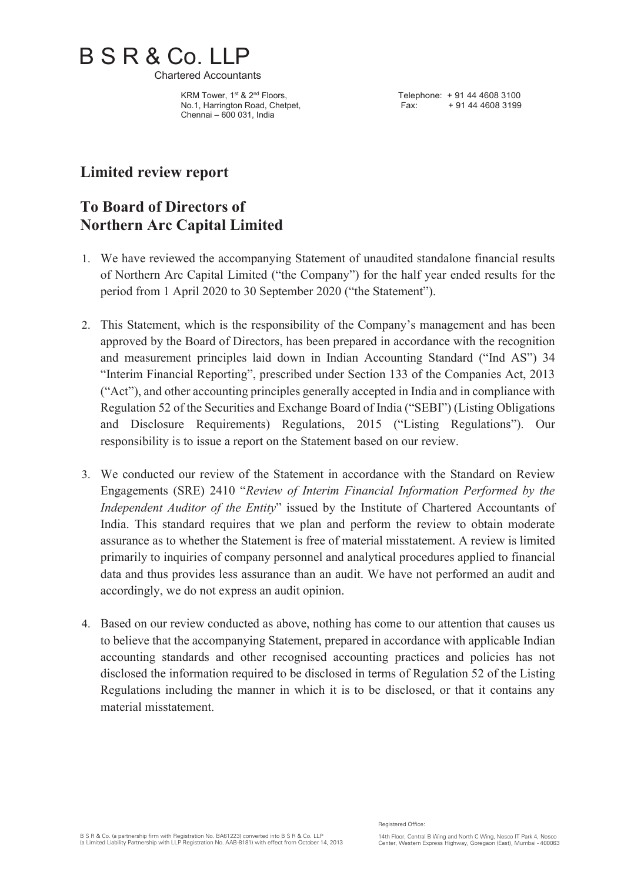

Chartered Accountants

KRM Tower, 1<sup>st</sup> & 2<sup>nd</sup> Floors, No.1, Harrington Road, Chetpet, Chennai – 600 031, India

Telephone: + 91 44 4608 3100 Fax: + 91 44 4608 3199

# **Limited review report**

# **To Board of Directors of Northern Arc Capital Limited**

- 1. We have reviewed the accompanying Statement of unaudited standalone financial results of Northern Arc Capital Limited ("the Company") for the half year ended results for the period from 1 April 2020 to 30 September 2020 ("the Statement").
- 2. This Statement, which is the responsibility of the Company's management and has been approved by the Board of Directors, has been prepared in accordance with the recognition and measurement principles laid down in Indian Accounting Standard ("Ind AS") 34 "Interim Financial Reporting", prescribed under Section 133 of the Companies Act, 2013 ("Act"), and other accounting principles generally accepted in India and in compliance with Regulation 52 of the Securities and Exchange Board of India ("SEBI") (Listing Obligations and Disclosure Requirements) Regulations, 2015 ("Listing Regulations"). Our responsibility is to issue a report on the Statement based on our review.
- 3. We conducted our review of the Statement in accordance with the Standard on Review Engagements (SRE) 2410 "*Review of Interim Financial Information Performed by the Independent Auditor of the Entity*" issued by the Institute of Chartered Accountants of India. This standard requires that we plan and perform the review to obtain moderate assurance as to whether the Statement is free of material misstatement. A review is limited primarily to inquiries of company personnel and analytical procedures applied to financial data and thus provides less assurance than an audit. We have not performed an audit and accordingly, we do not express an audit opinion.
- 4. Based on our review conducted as above, nothing has come to our attention that causes us to believe that the accompanying Statement, prepared in accordance with applicable Indian accounting standards and other recognised accounting practices and policies has not disclosed the information required to be disclosed in terms of Regulation 52 of the Listing Regulations including the manner in which it is to be disclosed, or that it contains any material misstatement.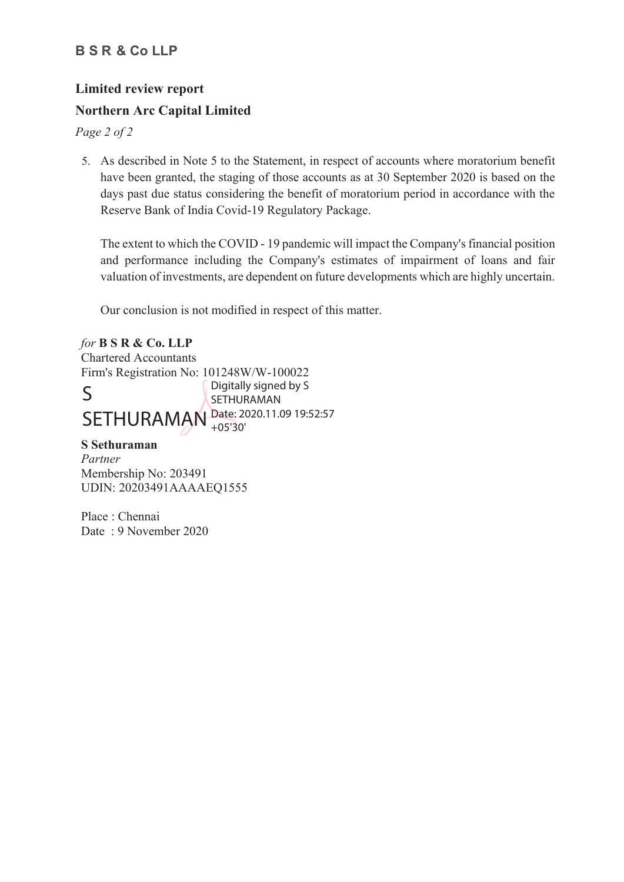## **B S R & Co LLP**

# **Limited review report Northern Arc Capital Limited**

*Page 2 of 2* 

5. As described in Note 5 to the Statement, in respect of accounts where moratorium benefit have been granted, the staging of those accounts as at 30 September 2020 is based on the days past due status considering the benefit of moratorium period in accordance with the Reserve Bank of India Covid-19 Regulatory Package.

The extent to which the COVID - 19 pandemic will impact the Company's financial position and performance including the Company's estimates of impairment of loans and fair valuation of investments, are dependent on future developments which are highly uncertain.

Our conclusion is not modified in respect of this matter.

*for* **B S R & Co. LLP** Chartered Accountants Firm's Registration No: 101248W/W-100022 S SETHURAMAN Date: 2020.11.09 19:52:57 Digitally signed by S SETHURAMAN +05'30'

### **S Sethuraman**

*Partner* Membership No: 203491 UDIN: 20203491AAAAEQ1555

Place : Chennai Date : 9 November 2020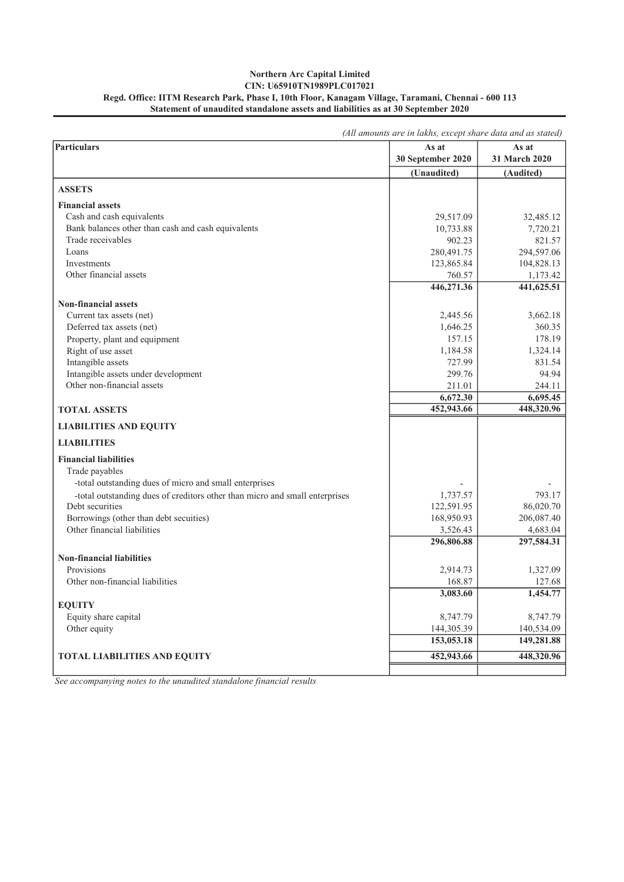#### Statement of unaudited standalone assets and liabilities as at 30 September 2020 Northern Arc Capital Limited CIN: U65910TN1989PLC017021 Regd. Office: IITM Research Park, Phase I, 10th Floor, Kanagam Village, Taramani, Chennai - 600 113

|                                                                             | (All amounts are in lakhs, except share data and as stated) |               |  |  |
|-----------------------------------------------------------------------------|-------------------------------------------------------------|---------------|--|--|
| Particulars                                                                 | As at                                                       | As at         |  |  |
|                                                                             | 30 September 2020                                           | 31 March 2020 |  |  |
|                                                                             | (Unaudited)                                                 | (Audited)     |  |  |
| <b>ASSETS</b>                                                               |                                                             |               |  |  |
| <b>Financial assets</b>                                                     |                                                             |               |  |  |
| Cash and cash equivalents                                                   | 29,517.09                                                   | 32,485.12     |  |  |
| Bank balances other than cash and cash equivalents                          | 10,733.88                                                   | 7,720.21      |  |  |
| Trade receivables                                                           | 902.23                                                      | 821.57        |  |  |
| Loans                                                                       | 280,491.75                                                  | 294,597.06    |  |  |
| Investments                                                                 | 123,865.84                                                  | 104,828.13    |  |  |
| Other financial assets                                                      | 760.57                                                      | 1,173.42      |  |  |
|                                                                             | 446,271.36                                                  | 441,625.51    |  |  |
| <b>Non-financial assets</b>                                                 |                                                             |               |  |  |
| Current tax assets (net)                                                    | 2,445.56                                                    | 3,662.18      |  |  |
| Deferred tax assets (net)                                                   | 1,646.25                                                    | 360.35        |  |  |
| Property, plant and equipment                                               | 157.15                                                      | 178.19        |  |  |
| Right of use asset                                                          | 1,184.58                                                    | 1,324.14      |  |  |
| Intangible assets                                                           | 727.99                                                      | 831.54        |  |  |
| Intangible assets under development                                         | 299.76                                                      | 94.94         |  |  |
| Other non-financial assets                                                  | 211.01                                                      | 244.11        |  |  |
|                                                                             | 6,672.30                                                    | 6,695.45      |  |  |
| <b>TOTAL ASSETS</b>                                                         | 452,943.66                                                  | 448,320.96    |  |  |
| <b>LIABILITIES AND EQUITY</b>                                               |                                                             |               |  |  |
| <b>LIABILITIES</b>                                                          |                                                             |               |  |  |
| <b>Financial liabilities</b>                                                |                                                             |               |  |  |
| Trade payables                                                              |                                                             |               |  |  |
| -total outstanding dues of micro and small enterprises                      |                                                             |               |  |  |
| -total outstanding dues of creditors other than micro and small enterprises | 1,737.57                                                    | 793.17        |  |  |
| Debt securities                                                             | 122,591.95                                                  | 86,020.70     |  |  |
| Borrowings (other than debt secuities)                                      | 168,950.93                                                  | 206,087.40    |  |  |
| Other financial liabilities                                                 | 3,526.43                                                    | 4,683.04      |  |  |
|                                                                             | 296,806.88                                                  | 297,584.31    |  |  |
| <b>Non-financial liabilities</b>                                            |                                                             |               |  |  |
| Provisions                                                                  | 2,914.73                                                    | 1,327.09      |  |  |
| Other non-financial liabilities                                             | 168.87                                                      | 127.68        |  |  |
|                                                                             | 3,083.60                                                    | 1,454.77      |  |  |
| <b>EQUITY</b>                                                               |                                                             |               |  |  |
| Equity share capital                                                        | 8,747.79                                                    | 8,747.79      |  |  |
| Other equity                                                                | 144,305.39                                                  | 140,534.09    |  |  |
|                                                                             | 153,053.18                                                  | 149,281.88    |  |  |
| <b>TOTAL LIABILITIES AND EQUITY</b>                                         | 452,943.66                                                  | 448,320.96    |  |  |
|                                                                             |                                                             |               |  |  |

*See accompanying notes to the unaudited standalone financial results*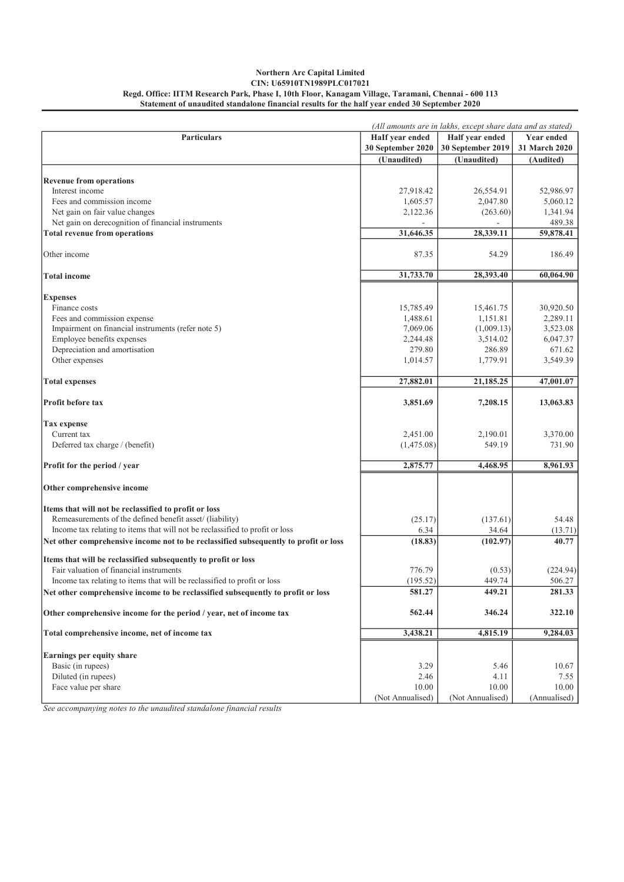#### Northern Arc Capital Limited CIN: U65910TN1989PLC017021 Regd. Office: IITM Research Park, Phase I, 10th Floor, Kanagam Village, Taramani, Chennai - 600 113 Statement of unaudited standalone financial results for the half year ended 30 September 2020

|                                                                                      | (All amounts are in lakhs, except share data and as stated) |                                      |               |
|--------------------------------------------------------------------------------------|-------------------------------------------------------------|--------------------------------------|---------------|
| <b>Particulars</b>                                                                   | HaIf year ended                                             | Half year ended<br><b>Year ended</b> |               |
|                                                                                      | 30 September 2020                                           | 30 September 2019                    | 31 March 2020 |
|                                                                                      | (Unaudited)                                                 | (Unaudited)                          | (Audited)     |
|                                                                                      |                                                             |                                      |               |
| <b>Revenue from operations</b>                                                       |                                                             |                                      |               |
| Interest income                                                                      | 27,918.42                                                   | 26,554.91                            | 52,986.97     |
| Fees and commission income                                                           | 1,605.57                                                    | 2,047.80                             | 5,060.12      |
| Net gain on fair value changes                                                       | 2,122.36                                                    | (263.60)                             | 1,341.94      |
| Net gain on derecognition of financial instruments                                   |                                                             |                                      | 489.38        |
| <b>Total revenue from operations</b>                                                 | 31,646.35                                                   | 28,339.11                            | 59,878.41     |
| Other income                                                                         | 87.35                                                       | 54.29                                | 186.49        |
| <b>Total income</b>                                                                  | 31,733.70                                                   | 28,393.40                            | 60,064.90     |
|                                                                                      |                                                             |                                      |               |
| <b>Expenses</b>                                                                      |                                                             |                                      |               |
| Finance costs                                                                        | 15,785.49                                                   | 15,461.75                            | 30,920.50     |
| Fees and commission expense                                                          | 1,488.61                                                    | 1,151.81                             | 2,289.11      |
| Impairment on financial instruments (refer note 5)                                   | 7,069.06                                                    | (1,009.13)                           | 3,523.08      |
| Employee benefits expenses                                                           | 2,244.48                                                    | 3,514.02                             | 6,047.37      |
| Depreciation and amortisation                                                        | 279.80                                                      | 286.89                               | 671.62        |
| Other expenses                                                                       | 1,014.57                                                    | 1,779.91                             | 3,549.39      |
| <b>Total expenses</b>                                                                | 27,882.01                                                   | 21,185.25                            | 47,001.07     |
| <b>Profit before tax</b>                                                             | 3,851.69                                                    | 7,208.15                             | 13,063.83     |
| Tax expense                                                                          |                                                             |                                      |               |
| Current tax                                                                          | 2,451.00                                                    | 2,190.01                             | 3,370.00      |
| Deferred tax charge / (benefit)                                                      | (1,475.08)                                                  | 549.19                               | 731.90        |
|                                                                                      |                                                             |                                      |               |
| Profit for the period / year                                                         | 2,875.77                                                    | 4,468.95                             | 8,961.93      |
| Other comprehensive income                                                           |                                                             |                                      |               |
| Items that will not be reclassified to profit or loss                                |                                                             |                                      |               |
| Remeasurements of the defined benefit asset/ (liability)                             | (25.17)                                                     | (137.61)                             | 54.48         |
| Income tax relating to items that will not be reclassified to profit or loss         | 6.34                                                        | 34.64                                | (13.71)       |
| Net other comprehensive income not to be reclassified subsequently to profit or loss | (18.83)                                                     | (102.97)                             | 40.77         |
| Items that will be reclassified subsequently to profit or loss                       |                                                             |                                      |               |
| Fair valuation of financial instruments                                              | 776.79                                                      | (0.53)                               | (224.94)      |
| Income tax relating to items that will be reclassified to profit or loss             | (195.52)                                                    | 449.74                               | 506.27        |
| Net other comprehensive income to be reclassified subsequently to profit or loss     | 581.27                                                      | 449.21                               | 281.33        |
| Other comprehensive income for the period / year, net of income tax                  | 562.44                                                      | 346.24                               | 322.10        |
|                                                                                      |                                                             |                                      |               |
| Total comprehensive income, net of income tax                                        | 3,438.21                                                    | 4,815.19                             | 9,284.03      |
| Earnings per equity share                                                            |                                                             |                                      |               |
| Basic (in rupees)                                                                    | 3.29                                                        | 5.46                                 | 10.67         |
| Diluted (in rupees)                                                                  | 2.46                                                        | 4.11                                 | 7.55          |
| Face value per share                                                                 | 10.00                                                       | 10.00                                | 10.00         |
|                                                                                      | (Not Annualised)                                            | (Not Annualised)                     | (Annualised)  |

*See accompanying notes to the unaudited standalone financial results*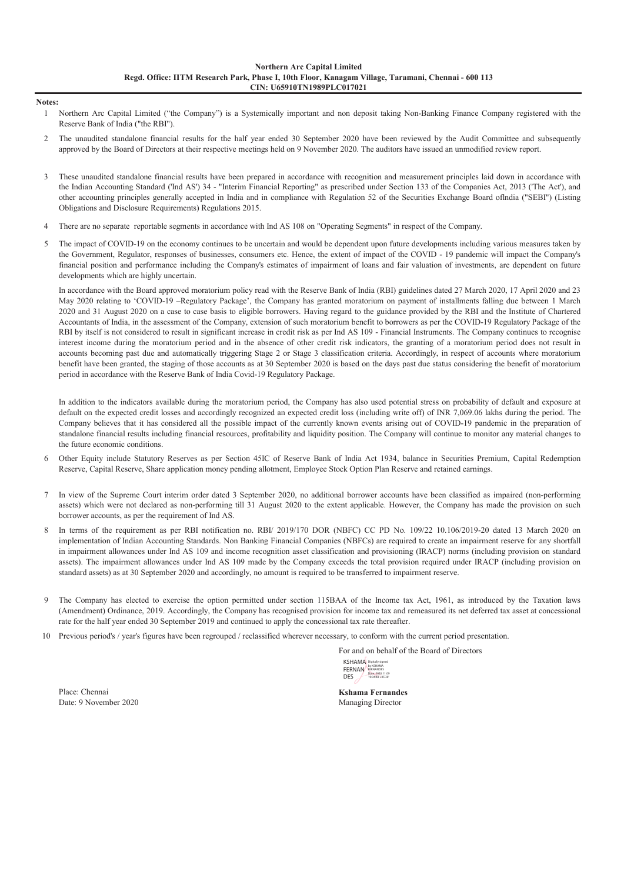Notes:

- 1 Northern Arc Capital Limited ("the Company") is a Systemically important and non deposit taking Non-Banking Finance Company registered with the Reserve Bank of India ("the RBI").
- $\mathcal{D}$ The unaudited standalone financial results for the half year ended 30 September 2020 have been reviewed by the Audit Committee and subsequently approved by the Board of Directors at their respective meetings held on 9 November 2020. The auditors have issued an unmodified review report.
- 3 These unaudited standalone financial results have been prepared in accordance with recognition and measurement principles laid down in accordance with the Indian Accounting Standard ('Ind AS') 34 - "Interim Financial Reporting" as prescribed under Section 133 of the Companies Act, 2013 ('The Act'), and other accounting principles generally accepted in India and in compliance with Regulation 52 of the Securities Exchange Board oflndia ("SEBI") (Listing Obligations and Disclosure Requirements) Regulations 2015.
- 4 There are no separate reportable segments in accordance with Ind AS 108 on "Operating Segments" in respect of the Company.
- 5 The impact of COVID-19 on the economy continues to be uncertain and would be dependent upon future developments including various measures taken by the Government, Regulator, responses of businesses, consumers etc. Hence, the extent of impact of the COVID - 19 pandemic will impact the Company's financial position and performance including the Company's estimates of impairment of loans and fair valuation of investments, are dependent on future developments which are highly uncertain.

In accordance with the Board approved moratorium policy read with the Reserve Bank of India (RBI) guidelines dated 27 March 2020, 17 April 2020 and 23 May 2020 relating to 'COVID-19 –Regulatory Package', the Company has granted moratorium on payment of installments falling due between 1 March 2020 and 31 August 2020 on a case to case basis to eligible borrowers. Having regard to the guidance provided by the RBI and the Institute of Chartered Accountants of India, in the assessment of the Company, extension of such moratorium benefit to borrowers as per the COVID-19 Regulatory Package of the RBI by itself is not considered to result in significant increase in credit risk as per Ind AS 109 - Financial Instruments. The Company continues to recognise interest income during the moratorium period and in the absence of other credit risk indicators, the granting of a moratorium period does not result in accounts becoming past due and automatically triggering Stage 2 or Stage 3 classification criteria. Accordingly, in respect of accounts where moratorium benefit have been granted, the staging of those accounts as at 30 September 2020 is based on the days past due status considering the benefit of moratorium period in accordance with the Reserve Bank of India Covid-19 Regulatory Package.

In addition to the indicators available during the moratorium period, the Company has also used potential stress on probability of default and exposure at default on the expected credit losses and accordingly recognized an expected credit loss (including write off) of INR 7,069.06 lakhs during the period. The Company believes that it has considered all the possible impact of the currently known events arising out of COVID-19 pandemic in the preparation of standalone financial results including financial resources, profitability and liquidity position. The Company will continue to monitor any material changes to the future economic conditions.

- 6 Other Equity include Statutory Reserves as per Section 45IC of Reserve Bank of India Act 1934, balance in Securities Premium, Capital Redemption Reserve, Capital Reserve, Share application money pending allotment, Employee Stock Option Plan Reserve and retained earnings.
- 7 In view of the Supreme Court interim order dated 3 September 2020, no additional borrower accounts have been classified as impaired (non-performing assets) which were not declared as non-performing till 31 August 2020 to the extent applicable. However, the Company has made the provision on such borrower accounts, as per the requirement of Ind AS.
- 8 In terms of the requirement as per RBI notification no. RBI/ 2019/170 DOR (NBFC) CC PD No. 109/22 10.106/2019-20 dated 13 March 2020 on implementation of Indian Accounting Standards. Non Banking Financial Companies (NBFCs) are required to create an impairment reserve for any shortfall in impairment allowances under Ind AS 109 and income recognition asset classification and provisioning (IRACP) norms (including provision on standard assets). The impairment allowances under Ind AS 109 made by the Company exceeds the total provision required under IRACP (including provision on standard assets) as at 30 September 2020 and accordingly, no amount is required to be transferred to impairment reserve.
- 9 The Company has elected to exercise the option permitted under section 115BAA of the Income tax Act, 1961, as introduced by the Taxation laws (Amendment) Ordinance, 2019. Accordingly, the Company has recognised provision for income tax and remeasured its net deferred tax asset at concessional rate for the half year ended 30 September 2019 and continued to apply the concessional tax rate thereafter.
- 10 Previous period's / year's figures have been regrouped / reclassified wherever necessary, to conform with the current period presentation.

For and on behalf of the Board of Directors

KSHAMA Digitally FERNAN DES Digitally signed by KSHAMA FERNANDES Date: 2020.11.09 19:04:48 +05'30'

Place: Chennai Kshama Fernandes Date: 9 November 2020

Managing Director